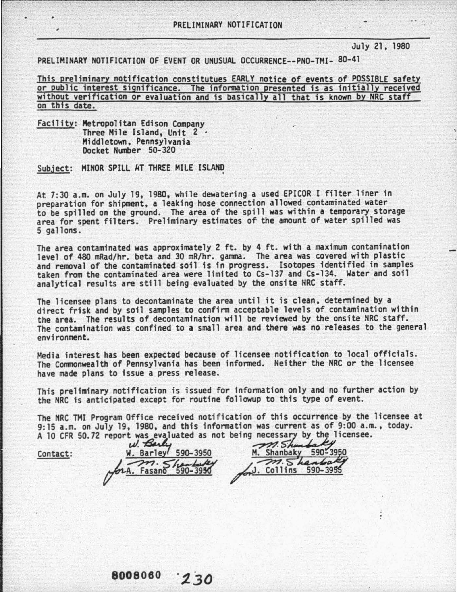## July 21, 1980

PRELIMINARY NOTIFICATION OF EVENT OR UNUSUAL OCCURRENCE--PNO-TMI- 80-41

This preliminary notification constitutues EARLY notice of events of POSSIBLE safety or public interest significance. The infonmation presented is as initially received without verification or evaluation and is basically all that is known by NRC staff on this date.

Facility: Metropolitan Edison Company<br>Three Mile Island, Unit 2<br>Middletown, Pennsylvania<br>Docket Number 50-320

Subject: MINOR SPILL AT THREE MILE ISLAND

At. 7:30 a.m. on July 19, 1980, while dewatering a used EPICOR I filter liner in preparation for shipment, a leaking hose connection allowed contaminated water to be spilled on the ground. The area of the spill was within a temporary storage area for spent filters. Preliminary estimates of the amount of water spilled was 5 gallons.

The area contaminated was approximately 2 ft. by 4 ft. with a maximum contamination level of 480 mRad/hr. beta and 30 mR/hr. gamma. The area was covered with plastic<br>and removal of the contaminated soil is in progress. Isotopes identified in samples<br>taken from the contaminated area were limited to Cs-137 analytical results are still being evaluated by the onsite HRC staff.

The licensee plans to decontaminate the area until it is clean, determined by a direct frisk and by soil samples to confirm acceptable levels of contamination within the area. The results of decontamination will be reviewed by the onsite NRC staff. The contamination was confined to a small area and there was no releases to the general environment.

Media interest has been expected because of licensee notification to local officials. The Commonwealth of Pennsylvania has been informed. Neither the NRC *or* the licensee have made plans to issue a press release.

This preliminary notification is issued *for* information only and no further action by the NRC is anticipated except for routine followup to this type of event.

The NRC THI Program Office received notification of this occurrence by the licensee at 9:15 a.m. on July 19, 1980, and this information was current as of 9:00 a.m., today. A 10 CFR 50.72 report w~~uated as not being necessa;1 by, thz\_!icensee. ~~~

Contact:  $\underbrace{W. \text{ Barley} \cdot 590-3950}_{A \rightarrow A \rightarrow A. \text{ Fasano}}$ *tP.*  W. Barley 590-3950<br>W. Barley 590-3950 M. Shanbaky 590-395<br>2001 Shanbaked M. Shanbaked ~k *-?'Yl·* </~~ .LJ ..-;:>n. S"' J£4. ... ~ (7""-:..:.' Fasano"~90--395<1' ,-· Collins 590-39

M. Shanbaky 590-3950